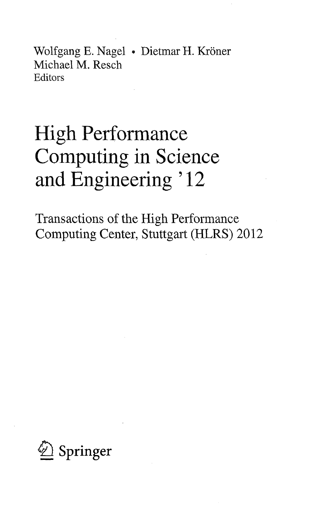Wolfgang E. Nagel • Dietmar H. Kröner Michael M. Resch Editors

# High Performance Computing in Science and Engineering ' 12

Transactions of the High Performance Computing Center, Stuttgart (HLRS) 2012

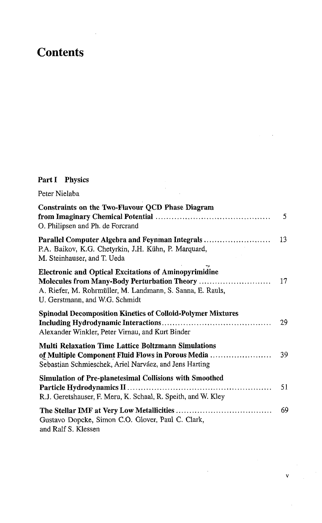## **Contents**

### Part I Physics

| Peter Nielaba                                                                                                                                                                                                |    |
|--------------------------------------------------------------------------------------------------------------------------------------------------------------------------------------------------------------|----|
| Constraints on the Two-Flavour QCD Phase Diagram<br>O. Philipsen and Ph. de Forcrand                                                                                                                         | 5  |
| Parallel Computer Algebra and Feynman Integrals<br>P.A. Baikov, K.G. Chetyrkin, J.H. Kühn, P. Marquard,<br>M. Steinhauser, and T. Ueda                                                                       | 13 |
| <b>Electronic and Optical Excitations of Aminopyrimidine</b><br>Molecules from Many-Body Perturbation Theory<br>A. Riefer, M. Rohrmüller, M. Landmann, S. Sanna, E. Rauls,<br>U. Gerstmann, and W.G. Schmidt | 17 |
| <b>Spinodal Decomposition Kinetics of Colloid-Polymer Mixtures</b><br>Alexander Winkler, Peter Virnau, and Kurt Binder                                                                                       | 29 |
| <b>Multi Relaxation Time Lattice Boltzmann Simulations</b><br>of Multiple Component Fluid Flows in Porous Media<br>Sebastian Schmieschek, Ariel Narváez, and Jens Harting                                    | 39 |
| Simulation of Pre-planetesimal Collisions with Smoothed<br>R.J. Geretshauser, F. Meru, K. Schaal, R. Speith, and W. Kley                                                                                     | 51 |
| Gustavo Dopcke, Simon C.O. Glover, Paul C. Clark,<br>and Ralf S. Klessen                                                                                                                                     | 69 |

 $\sim 10^{-10}$ 

v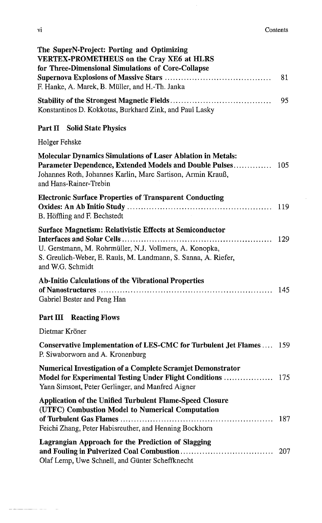| The SuperN-Project: Porting and Optimizing<br><b>VERTEX-PROMETHEUS on the Cray XE6 at HLRS</b><br>for Three-Dimensional Simulations of Core-Collapse                                                                   |     |
|------------------------------------------------------------------------------------------------------------------------------------------------------------------------------------------------------------------------|-----|
| F. Hanke, A. Marek, B. Müller, and H.-Th. Janka                                                                                                                                                                        | 81  |
| Konstantinos D. Kokkotas, Burkhard Zink, and Paul Lasky                                                                                                                                                                | 95  |
| Part II Solid State Physics                                                                                                                                                                                            |     |
| Holger Fehske                                                                                                                                                                                                          |     |
| <b>Molecular Dynamics Simulations of Laser Ablation in Metals:</b><br>Parameter Dependence, Extended Models and Double Pulses<br>Johannes Roth, Johannes Karlin, Marc Sartison, Armin Krauß,<br>and Hans-Rainer-Trebin | 105 |
| <b>Electronic Surface Properties of Transparent Conducting</b><br>B. Höffling and F. Bechstedt                                                                                                                         |     |
| <b>Surface Magnetism: Relativistic Effects at Semiconductor</b><br>U. Gerstmann, M. Rohrmüller, N.J. Vollmers, A. Konopka,<br>S. Greulich-Weber, E. Rauls, M. Landmann, S. Sanna, A. Riefer,<br>and W.G. Schmidt       | 129 |
| Ab-Initio Calculations of the Vibrational Properties<br>Gabriel Bester and Peng Han                                                                                                                                    |     |
| <b>Part III Reacting Flows</b>                                                                                                                                                                                         |     |
| Dietmar Kröner                                                                                                                                                                                                         |     |
| Conservative Implementation of LES-CMC for Turbulent Jet Flames  159<br>P. Siwaborworn and A. Kronenburg                                                                                                               |     |
| <b>Numerical Investigation of a Complete Scramjet Demonstrator</b><br>Yann Simsont, Peter Gerlinger, and Manfred Aigner                                                                                                |     |
| Application of the Unified Turbulent Flame-Speed Closure<br>(UTFC) Combustion Model to Numerical Computation<br>Feichi Zhang, Peter Habisreuther, and Henning Bockhorn                                                 | 187 |
| Lagrangian Approach for the Prediction of Slagging<br>Olaf Lemp, Uwe Schnell, and Günter Scheffknecht                                                                                                                  | 207 |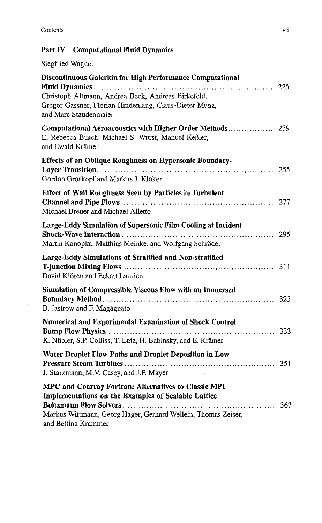$\sim$ 

#### Part IV Computational Fluid Dynamics

#### Siegfried Wagner

| Discontinuous Galerkin for High Performance Computational                                                                                                                                           |     |
|-----------------------------------------------------------------------------------------------------------------------------------------------------------------------------------------------------|-----|
| Christoph Altmann, Andrea Beck, Andreas Birkefeld,<br>Gregor Gassner, Florian Hindenlang, Claus-Dieter Munz,<br>and Marc Staudenmaier                                                               |     |
| E. Rebecca Busch, Michael S. Wurst, Manuel Keßler,<br>and Ewald Krämer                                                                                                                              |     |
| <b>Effects of an Oblique Roughness on Hypersonic Boundary-</b><br>Gordon Groskopf and Markus J. Kloker                                                                                              |     |
| <b>Effect of Wall Roughness Seen by Particles in Turbulent</b><br>Michael Breuer and Michael Alletto                                                                                                |     |
| Large-Eddy Simulation of Supersonic Film Cooling at Incident<br>Martin Konopka, Matthias Meinke, and Wolfgang Schröder                                                                              |     |
| Large-Eddy Simulations of Stratified and Non-stratified<br>David Klören and Eckart Laurien                                                                                                          |     |
| Simulation of Compressible Viscous Flow with an Immersed<br>B. Jastrow and F. Magagnato                                                                                                             |     |
| Numerical and Experimental Examination of Shock Control<br>K. Nübler, S.P. Colliss, T. Lutz, H. Babinsky, and E. Krämer                                                                             |     |
| Water Droplet Flow Paths and Droplet Deposition in Low<br>J. Starzmann, M.V. Casey, and J.F. Mayer                                                                                                  |     |
| MPC and Coarray Fortran: Alternatives to Classic MPI<br>Implementations on the Examples of Scalable Lattice<br>Markus Wittmann, Georg Hager, Gerhard Wellein, Thomas Zeiser,<br>and Bettina Krammer | 367 |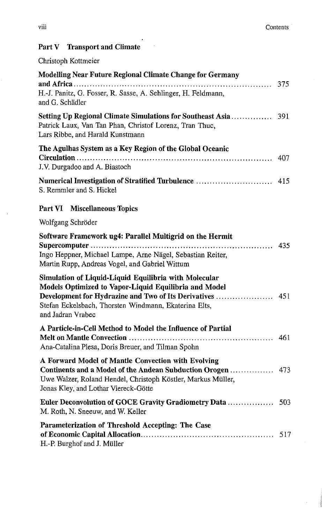### Part V Transport and Climate

#### Christoph Kottmeier

| Modelling Near Future Regional Climate Change for Germany<br>H.-J. Panitz, G. Fosser, R. Sasse, A. Sehlinger, H. Feldmann,<br>and G. Schädler                                                |     |
|----------------------------------------------------------------------------------------------------------------------------------------------------------------------------------------------|-----|
| Patrick Laux, Van Tan Phan, Christof Lorenz, Tran Thuc,<br>Lars Ribbe, and Harald Kunstmann                                                                                                  |     |
| The Agulhas System as a Key Region of the Global Oceanic<br>J.V. Durgadoo and A. Biastoch                                                                                                    | 407 |
| Numerical Investigation of Stratified Turbulence<br>S. Remmler and S. Hickel                                                                                                                 | 415 |
| Part VI Miscellaneous Topics                                                                                                                                                                 |     |
| Wolfgang Schröder                                                                                                                                                                            |     |
| Software Framework ug4: Parallel Multigrid on the Hermit<br>Ingo Heppner, Michael Lampe, Arne Nägel, Sebastian Reiter,<br>Martin Rupp, Andreas Vogel, and Gabriel Wittum                     |     |
| Simulation of Liquid-Liquid Equilibria with Molecular<br>Models Optimized to Vapor-Liquid Equilibria and Model<br>Stefan Eckelsbach, Thorsten Windmann, Ekaterina Elts,<br>and Jadran Vrabec |     |
| A Particle-in-Cell Method to Model the Influence of Partial<br>Ana-Catalina Plesa, Doris Breuer, and Tilman Spohn                                                                            |     |
| A Forward Model of Mantle Convection with Evolving<br>Uwe Walzer, Roland Hendel, Christoph Köstler, Markus Müller,<br>Jonas Kley, and Lothar Viereck-Götte                                   |     |
| M. Roth, N. Sneeuw, and W. Keller                                                                                                                                                            |     |
| Parameterization of Threshold Accepting: The Case<br>H.-P. Burghof and J. Müller                                                                                                             |     |

J.